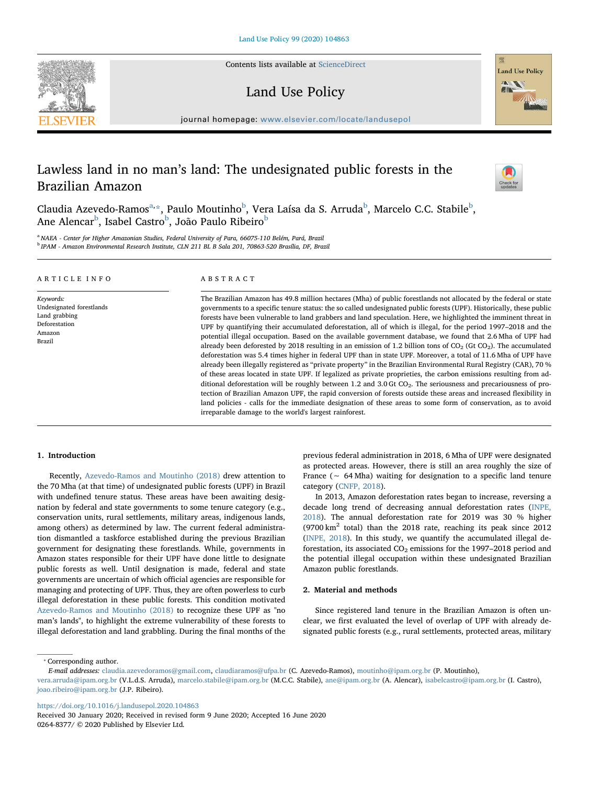Contents lists available at [ScienceDirect](http://www.sciencedirect.com/science/journal/02648377)





## Land Use Policy

journal homepage: [www.elsevier.com/locate/landusepol](https://www.elsevier.com/locate/landusepol)

# Lawless land in no man's land: The undesignated public forests in the Brazilian Amazon



Claudia Azevedo-Ramos<sup>[a,](#page-0-0)</sup>[\\*](#page-0-1), Paulo Moutinho<sup>[b](#page-0-2)</sup>, Vera Laísa da S. Arruda<sup>b</sup>, Marcelo C.C. Stabile<sup>b</sup>, Ane Alencar<sup>[b](#page-0-2)</sup>, Isabel Castro<sup>b</sup>, João Paulo Ribeiro<sup>b</sup>

<span id="page-0-2"></span><span id="page-0-0"></span><sup>a</sup> NAEA - Center for Higher Amazonian Studies, Federal University of Para, 66075-110 Belém, Pará, Brazil <sup>b</sup> IPAM - Amazon Environmental Research Institute, CLN 211 BL B Sala 201, 70863-520 Brasília, DF, Brazil

| ARTICLE INFO             | ABSTRACT                                                                                                             |
|--------------------------|----------------------------------------------------------------------------------------------------------------------|
| Keywords:                | The Brazilian Amazon has 49.8 million hectares (Mha) of public forestlands not allocated by the federal or state     |
| Undesignated forestlands | governments to a specific tenure status: the so called undesignated public forests (UPF). Historically, these public |
| Land grabbing            | forests have been vulnerable to land grabbers and land speculation. Here, we highlighted the imminent threat in      |
| Deforestation            | UPF by quantifying their accumulated deforestation, all of which is illegal, for the period 1997–2018 and the        |
| Amazon                   | potential illegal occupation. Based on the available government database, we found that 2.6 Mha of UPF had           |
| Brazil                   | already been deforested by 2018 resulting in an emission of 1.2 billion tons of $CO2$ (Gt $CO2$ ). The accumulated   |

deforestation was 5.4 times higher in federal UPF than in state UPF. Moreover, a total of 11.6 Mha of UPF have already been illegally registered as "private property" in the Brazilian Environmental Rural Registry (CAR), 70 % of these areas located in state UPF. If legalized as private proprieties, the carbon emissions resulting from additional deforestation will be roughly between 1.2 and 3.0 Gt  $CO<sub>2</sub>$ . The seriousness and precariousness of protection of Brazilian Amazon UPF, the rapid conversion of forests outside these areas and increased flexibility in land policies - calls for the immediate designation of these areas to some form of conservation, as to avoid irreparable damage to the world's largest rainforest.

## 1. Introduction

Recently, [Azevedo-Ramos and Moutinho \(2018\)](#page-3-0) drew attention to the 70 Mha (at that time) of undesignated public forests (UPF) in Brazil with undefined tenure status. These areas have been awaiting designation by federal and state governments to some tenure category (e.g., conservation units, rural settlements, military areas, indigenous lands, among others) as determined by law. The current federal administration dismantled a taskforce established during the previous Brazilian government for designating these forestlands. While, governments in Amazon states responsible for their UPF have done little to designate public forests as well. Until designation is made, federal and state governments are uncertain of which official agencies are responsible for managing and protecting of UPF. Thus, they are often powerless to curb illegal deforestation in these public forests. This condition motivated [Azevedo-Ramos and Moutinho \(2018\)](#page-3-0) to recognize these UPF as "no man's lands", to highlight the extreme vulnerability of these forests to illegal deforestation and land grabbling. During the final months of the previous federal administration in 2018, 6 Mha of UPF were designated as protected areas. However, there is still an area roughly the size of France (∼ 64 Mha) waiting for designation to a specific land tenure category [\(CNFP, 2018](#page-3-1)).

In 2013, Amazon deforestation rates began to increase, reversing a decade long trend of decreasing annual deforestation rates ([INPE,](#page-3-2) [2018\)](#page-3-2). The annual deforestation rate for 2019 was 30 % higher (9700  $\text{km}^2$  total) than the 2018 rate, reaching its peak since 2012 ([INPE, 2018\)](#page-3-2). In this study, we quantify the accumulated illegal deforestation, its associated  $CO<sub>2</sub>$  emissions for the 1997–2018 period and the potential illegal occupation within these undesignated Brazilian Amazon public forestlands.

## 2. Material and methods

Since registered land tenure in the Brazilian Amazon is often unclear, we first evaluated the level of overlap of UPF with already designated public forests (e.g., rural settlements, protected areas, military

<span id="page-0-1"></span>⁎ Corresponding author.

<https://doi.org/10.1016/j.landusepol.2020.104863>

Received 30 January 2020; Received in revised form 9 June 2020; Accepted 16 June 2020 0264-8377/ © 2020 Published by Elsevier Ltd.

E-mail addresses: [claudia.azevedoramos@gmail.com](mailto:claudia.azevedoramos@gmail.com), [claudiaramos@ufpa.br](mailto:claudiaramos@ufpa.br) (C. Azevedo-Ramos), [moutinho@ipam.org.br](mailto:moutinho@ipam.org.br) (P. Moutinho),

[vera.arruda@ipam.org.br](mailto:vera.arruda@ipam.org.br) (V.L.d.S. Arruda), [marcelo.stabile@ipam.org.br](mailto:marcelo.stabile@ipam.org.br) (M.C.C. Stabile), [ane@ipam.org.br](mailto:ane@ipam.org.br) (A. Alencar), [isabelcastro@ipam.org.br](mailto:isabelcastro@ipam.org.br) (I. Castro), [joao.ribeiro@ipam.org.br](mailto:joao.ribeiro@ipam.org.br) (J.P. Ribeiro).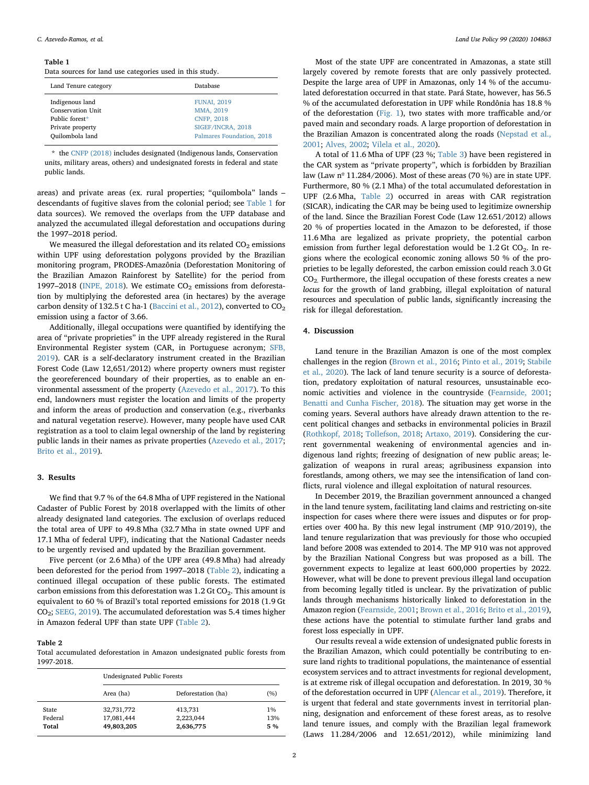#### <span id="page-1-0"></span>Table 1

Data sources for land use categories used in this study.

| Land Tenure category | <b>Database</b>           |
|----------------------|---------------------------|
| Indigenous land      | <b>FUNAI, 2019</b>        |
| Conservation Unit    | MMA, 2019                 |
| Public forest*       | <b>CNFP, 2018</b>         |
| Private property     | SIGEF/INCRA, 2018         |
| Quilombola land      | Palmares Foundation, 2018 |

<span id="page-1-2"></span>\* the [CNFP \(2018\)](#page-3-1) includes designated (Indigenous lands, Conservation units, military areas, others) and undesignated forests in federal and state public lands.

areas) and private areas (ex. rural properties; "quilombola" lands – descendants of fugitive slaves from the colonial period; see [Table 1](#page-1-0) for data sources). We removed the overlaps from the UFP database and analyzed the accumulated illegal deforestation and occupations during the 1997–2018 period.

We measured the illegal deforestation and its related  $CO<sub>2</sub>$  emissions within UPF using deforestation polygons provided by the Brazilian monitoring program, PRODES-Amazônia (Deforestation Monitoring of the Brazilian Amazon Rainforest by Satellite) for the period from 1997–2018 ([INPE, 2018](#page-3-2)). We estimate  $CO<sub>2</sub>$  emissions from deforestation by multiplying the deforested area (in hectares) by the average carbon density of 132.5 t C ha-1 [\(Baccini et al., 2012](#page-3-3)), converted to  $CO<sub>2</sub>$ emission using a factor of 3.66.

Additionally, illegal occupations were quantified by identifying the area of "private proprieties" in the UPF already registered in the Rural Environmental Register system (CAR, in Portuguese acronym; [SFB,](#page-3-4) [2019\)](#page-3-4). CAR is a self-declaratory instrument created in the Brazilian Forest Code (Law 12,651/2012) where property owners must register the georeferenced boundary of their properties, as to enable an environmental assessment of the property [\(Azevedo et al., 2017](#page-3-5)). To this end, landowners must register the location and limits of the property and inform the areas of production and conservation (e.g., riverbanks and natural vegetation reserve). However, many people have used CAR registration as a tool to claim legal ownership of the land by registering public lands in their names as private properties ([Azevedo et al., 2017](#page-3-5); [Brito et al., 2019](#page-3-6)).

#### 3. Results

We find that 9.7 % of the 64.8 Mha of UPF registered in the National Cadaster of Public Forest by 2018 overlapped with the limits of other already designated land categories. The exclusion of overlaps reduced the total area of UPF to 49.8 Mha (32.7 Mha in state owned UPF and 17.1 Mha of federal UPF), indicating that the National Cadaster needs to be urgently revised and updated by the Brazilian government.

Five percent (or 2.6 Mha) of the UPF area (49.8 Mha) had already been deforested for the period from 1997–2018 [\(Table 2\)](#page-1-1), indicating a continued illegal occupation of these public forests. The estimated carbon emissions from this deforestation was  $1.2$  Gt CO<sub>2</sub>. This amount is equivalent to 60 % of Brazil's total reported emissions for 2018 (1.9 Gt CO2; [SEEG, 2019\)](#page-3-7). The accumulated deforestation was 5.4 times higher in Amazon federal UPF than state UPF ([Table 2\)](#page-1-1).

#### <span id="page-1-1"></span>Table 2

Total accumulated deforestation in Amazon undesignated public forests from 1997-2018.

|         | Undesignated Public Forests |                    |     |  |
|---------|-----------------------------|--------------------|-----|--|
|         | Area (ha)                   | Deforestation (ha) | (%) |  |
| State   | 32,731,772                  | 413,731            | 1%  |  |
| Federal | 17,081,444                  | 2,223,044          | 13% |  |
| Total   | 49,803,205                  | 2,636,775          | 5 % |  |

Most of the state UPF are concentrated in Amazonas, a state still largely covered by remote forests that are only passively protected. Despite the large area of UPF in Amazonas, only 14 % of the accumulated deforestation occurred in that state. Pará State, however, has 56.5  $\%$  of the accumulated deforestation in UPF while Rondônia has 18.8  $\%$ of the deforestation ([Fig. 1\)](#page-2-0), two states with more trafficable and/or paved main and secondary roads. A large proportion of deforestation in the Brazilian Amazon is concentrated along the roads ([Nepstad et al.,](#page-3-8) [2001;](#page-3-8) [Alves, 2002](#page-3-9); [Vilela et al., 2020](#page-3-10)).

A total of 11.6 Mha of UPF (23 %; [Table 3](#page-2-1)) have been registered in the CAR system as "private property", which is forbidden by Brazilian law (Law  $n^{\circ}$  11.284/2006). Most of these areas (70 %) are in state UPF. Furthermore, 80 % (2.1 Mha) of the total accumulated deforestation in UPF (2.6 Mha, [Table 2\)](#page-1-1) occurred in areas with CAR registration (SICAR), indicating the CAR may be being used to legitimize ownership of the land. Since the Brazilian Forest Code (Law 12.651/2012) allows 20 % of properties located in the Amazon to be deforested, if those 11.6 Mha are legalized as private propriety, the potential carbon emission from further legal deforestation would be  $1.2$  Gt CO<sub>2</sub>. In regions where the ecological economic zoning allows 50 % of the proprieties to be legally deforested, the carbon emission could reach 3.0 Gt CO2. Furthermore, the illegal occupation of these forests creates a new locus for the growth of land grabbing, illegal exploitation of natural resources and speculation of public lands, significantly increasing the risk for illegal deforestation.

#### 4. Discussion

Land tenure in the Brazilian Amazon is one of the most complex challenges in the region ([Brown et al., 2016;](#page-3-11) [Pinto et al., 2019;](#page-3-12) [Stabile](#page-3-13) [et al., 2020\)](#page-3-13). The lack of land tenure security is a source of deforestation, predatory exploitation of natural resources, unsustainable economic activities and violence in the countryside ([Fearnside, 2001](#page-3-14); [Benatti and Cunha Fischer, 2018](#page-3-15)). The situation may get worse in the coming years. Several authors have already drawn attention to the recent political changes and setbacks in environmental policies in Brazil ([Rothkopf, 2018;](#page-3-16) [Tollefson, 2018](#page-3-17); [Artaxo, 2019\)](#page-3-18). Considering the current governmental weakening of environmental agencies and indigenous land rights; freezing of designation of new public areas; legalization of weapons in rural areas; agribusiness expansion into forestlands, among others, we may see the intensification of land conflicts, rural violence and illegal exploitation of natural resources.

In December 2019, the Brazilian government announced a changed in the land tenure system, facilitating land claims and restricting on-site inspection for cases where there were issues and disputes or for properties over 400 ha. By this new legal instrument (MP 910/2019), the land tenure regularization that was previously for those who occupied land before 2008 was extended to 2014. The MP 910 was not approved by the Brazilian National Congress but was proposed as a bill. The government expects to legalize at least 600,000 properties by 2022. However, what will be done to prevent previous illegal land occupation from becoming legally titled is unclear. By the privatization of public lands through mechanisms historically linked to deforestation in the Amazon region ([Fearnside, 2001;](#page-3-14) [Brown et al., 2016](#page-3-11); [Brito et al., 2019](#page-3-6)), these actions have the potential to stimulate further land grabs and forest loss especially in UPF.

Our results reveal a wide extension of undesignated public forests in the Brazilian Amazon, which could potentially be contributing to ensure land rights to traditional populations, the maintenance of essential ecosystem services and to attract investments for regional development, is at extreme risk of illegal occupation and deforestation. In 2019, 30 % of the deforestation occurred in UPF [\(Alencar et al., 2019\)](#page-3-19). Therefore, it is urgent that federal and state governments invest in territorial planning, designation and enforcement of these forest areas, as to resolve land tenure issues, and comply with the Brazilian legal framework (Laws 11.284/2006 and 12.651/2012), while minimizing land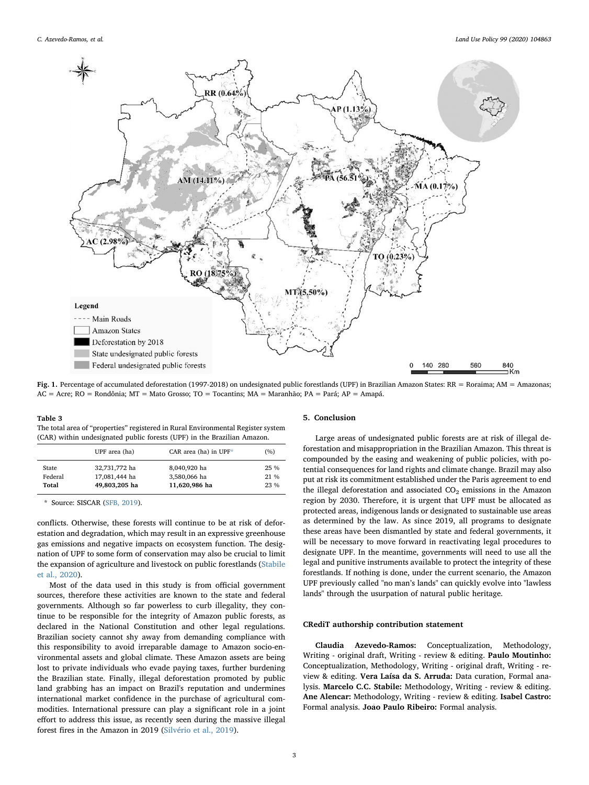<span id="page-2-0"></span>

Fig. 1. Percentage of accumulated deforestation (1997-2018) on undesignated public forestlands (UPF) in Brazilian Amazon States: RR = Roraima; AM = Amazonas; AC = Acre; RO = Rondônia; MT = Mato Grosso; TO = Tocantins; MA = Maranhão; PA = Pará; AP = Amapá.

#### <span id="page-2-1"></span>Table 3

The total area of "properties" registered in Rural Environmental Register system (CAR) within undesignated public forests (UPF) in the Brazilian Amazon.

|              | UPF area (ha) | CAR area (ha) in $UPF^*$ | (%)    |
|--------------|---------------|--------------------------|--------|
| <b>State</b> | 32,731,772 ha | 8,040,920 ha             | $25\%$ |
| Federal      | 17,081,444 ha | 3,580,066 ha             | 21 %   |
| Total        | 49,803,205 ha | 11,620,986 ha            | 23 %   |

<span id="page-2-2"></span>\* Source: SISCAR ([SFB, 2019](#page-3-4)).

conflicts. Otherwise, these forests will continue to be at risk of deforestation and degradation, which may result in an expressive greenhouse gas emissions and negative impacts on ecosystem function. The designation of UPF to some form of conservation may also be crucial to limit the expansion of agriculture and livestock on public forestlands ([Stabile](#page-3-13) [et al., 2020](#page-3-13)).

Most of the data used in this study is from official government sources, therefore these activities are known to the state and federal governments. Although so far powerless to curb illegality, they continue to be responsible for the integrity of Amazon public forests, as declared in the National Constitution and other legal regulations. Brazilian society cannot shy away from demanding compliance with this responsibility to avoid irreparable damage to Amazon socio-environmental assets and global climate. These Amazon assets are being lost to private individuals who evade paying taxes, further burdening the Brazilian state. Finally, illegal deforestation promoted by public land grabbing has an impact on Brazil's reputation and undermines international market confidence in the purchase of agricultural commodities. International pressure can play a significant role in a joint effort to address this issue, as recently seen during the massive illegal forest fires in the Amazon in 2019 ([Silvério et al., 2019](#page-3-24)).

#### 5. Conclusion

Large areas of undesignated public forests are at risk of illegal deforestation and misappropriation in the Brazilian Amazon. This threat is compounded by the easing and weakening of public policies, with potential consequences for land rights and climate change. Brazil may also put at risk its commitment established under the Paris agreement to end the illegal deforestation and associated  $CO<sub>2</sub>$  emissions in the Amazon region by 2030. Therefore, it is urgent that UPF must be allocated as protected areas, indigenous lands or designated to sustainable use areas as determined by the law. As since 2019, all programs to designate these areas have been dismantled by state and federal governments, it will be necessary to move forward in reactivating legal procedures to designate UPF. In the meantime, governments will need to use all the legal and punitive instruments available to protect the integrity of these forestlands. If nothing is done, under the current scenario, the Amazon UPF previously called "no man's lands" can quickly evolve into "lawless lands" through the usurpation of natural public heritage.

## CRediT authorship contribution statement

Claudia Azevedo-Ramos: Conceptualization, Methodology, Writing - original draft, Writing - review & editing. Paulo Moutinho: Conceptualization, Methodology, Writing - original draft, Writing - review & editing. Vera Laísa da S. Arruda: Data curation, Formal analysis. Marcelo C.C. Stabile: Methodology, Writing - review & editing. Ane Alencar: Methodology, Writing - review & editing. Isabel Castro: Formal analysis. João Paulo Ribeiro: Formal analysis.